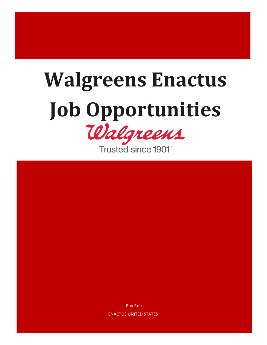# **Walgreens Enactus Job Opportunities** Walgreens

Trusted since 1901

Ray Ruiz ENACTUS UNITED STATES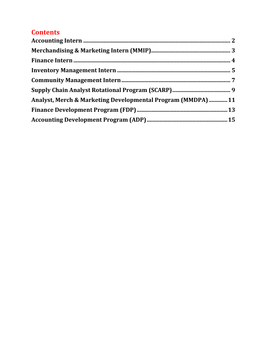# **Contents**

| Analyst, Merch & Marketing Developmental Program (MMDPA)  11 |  |
|--------------------------------------------------------------|--|
|                                                              |  |
|                                                              |  |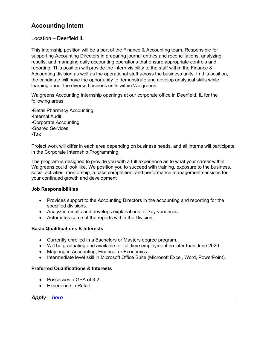# <span id="page-2-0"></span>**Accounting Intern**

Location – Deerfield IL

This internship position will be a part of the Finance & Accounting team. Responsible for supporting Accounting Directors in preparing journal entries and reconciliations, analyzing results, and managing daily accounting operations that ensure appropriate controls and reporting. This position will provide the intern visibility to the staff within the Finance & Accounting division as well as the operational staff across the business units. In this position, the candidate will have the opportunity to demonstrate and develop analytical skills while learning about the diverse business units within Walgreens.

Walgreens Accounting Internship openings at our corporate office in Deerfield, IL for the following areas:

- •Retail Pharmacy Accounting
- •Internal Audit
- •Corporate Accounting
- •Shared Services
- •Tax

Project work will differ in each area depending on business needs, and all interns will participate in the Corporate Internship Programming.

The program is designed to provide you with a full experience as to what your career within Walgreens could look like. We position you to succeed with training, exposure to the business, social activities, mentorship, a case competition, and performance management sessions for your continued growth and development

#### **Job Responsibilities**

- Provides support to the Accounting Directors in the accounting and reporting for the specified divisions.
- Analyzes results and develops explanations for key variances.
- Automates some of the reports within the Division.

#### **Basic Qualifications & Interests**

- Currently enrolled in a Bachelors or Masters degree program.
- Will be graduating and available for full time employment no later than June 2020.
- Majoring in Accounting, Finance, or Economics.
- Intermediate level skill in Microsoft Office Suite (Microsoft Excel, Word, PowerPoint).

#### **Preferred Qualifications & Interests**

- Possesses a GPA of 3.2.
- Experience in Retail.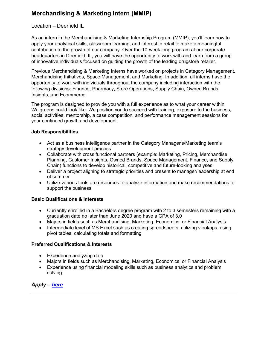# <span id="page-3-0"></span>**Merchandising & Marketing Intern (MMIP)**

# Location – Deerfield IL

As an intern in the Merchandising & Marketing Internship Program (MMIP), you'll learn how to apply your analytical skills, classroom learning, and interest in retail to make a meaningful contribution to the growth of our company. Over the 10-week long program at our corporate headquarters in Deerfield, IL, you will have the opportunity to work with and learn from a group of innovative individuals focused on guiding the growth of the leading drugstore retailer.

Previous Merchandising & Marketing Interns have worked on projects in Category Management, Merchandising Initiatives, Space Management, and Marketing. In addition, all interns have the opportunity to work with individuals throughout the company including interaction with the following divisions: Finance, Pharmacy, Store Operations, Supply Chain, Owned Brands, Insights, and Ecommerce.

The program is designed to provide you with a full experience as to what your career within Walgreens could look like. We position you to succeed with training, exposure to the business, social activities, mentorship, a case competition, and performance management sessions for your continued growth and development.

#### **Job Responsibilities**

- Act as a business intelligence partner in the Category Manager's/Marketing team's strategy development process
- Collaborate with cross functional partners (example: Marketing, Pricing, Merchandise Planning, Customer Insights, Owned Brands, Space Management, Finance, and Supply Chain) functions to develop historical, competitive and future-looking analyses.
- Deliver a project aligning to strategic priorities and present to manager/leadership at end of summer
- Utilize various tools are resources to analyze information and make recommendations to support the business

# **Basic Qualifications & Interests**

- Currently enrolled in a Bachelors degree program with 2 to 3 semesters remaining with a graduation date no later than June 2020 and have a GPA of 3.0
- Majors in fields such as Merchandising, Marketing, Economics, or Financial Analysis
- Intermediate level of MS Excel such as creating spreadsheets, utilizing vlookups, using pivot tables, calculating totals and formatting

# **Preferred Qualifications & Interests**

- Experience analyzing data
- Majors in fields such as Merchandising, Marketing, Economics, or Financial Analysis
- Experience using financial modeling skills such as business analytics and problem solving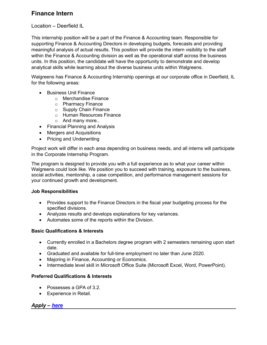# <span id="page-4-0"></span>**Finance Intern**

# Location – Deerfield IL

This internship position will be a part of the Finance & Accounting team. Responsible for supporting Finance & Accounting Directors in developing budgets, forecasts and providing meaningful analysis of actual results. This position will provide the intern visibility to the staff within the Finance & Accounting division as well as the operational staff across the business units. In this position, the candidate will have the opportunity to demonstrate and develop analytical skills while learning about the diverse business units within Walgreens.

Walgreens has Finance & Accounting Internship openings at our corporate office in Deerfield, IL for the following areas:

- Business Unit Finance
	- o Merchandise Finance
	- o Pharmacy Finance
	- o Supply Chain Finance
	- o Human Resources Finance
	- o And many more..
- Financial Planning and Analysis
- Mergers and Acquisitions
- Pricing and Underwriting

Project work will differ in each area depending on business needs, and all interns will participate in the Corporate Internship Program.

The program is designed to provide you with a full experience as to what your career within Walgreens could look like. We position you to succeed with training, exposure to the business, social activities, mentorship, a case competition, and performance management sessions for your continued growth and development.

#### **Job Responsibilities**

- Provides support to the Finance Directors in the fiscal year budgeting process for the specified divisions.
- Analyzes results and develops explanations for key variances.
- Automates some of the reports within the Division.

#### **Basic Qualifications & Interests**

- Currently enrolled in a Bachelors degree program with 2 semesters remaining upon start date.
- Graduated and available for full-time employment no later than June 2020.
- Majoring in Finance, Accounting or Economics.
- Intermediate level skill in Microsoft Office Suite (Microsoft Excel, Word, PowerPoint).

# **Preferred Qualifications & Interests**

- Possesses a GPA of 3.2.
- Experience in Retail.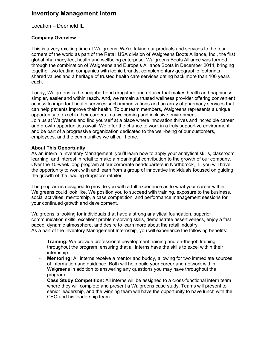# <span id="page-5-0"></span>**Inventory Management Intern**

Location – Deerfield IL

# **Company Overview**

This is a very exciting time at Walgreens. We're taking our products and services to the four corners of the world as part of the Retail USA division of Walgreens Boots Alliance, Inc., the first global pharmacy-led, health and wellbeing enterprise. Walgreens Boots Alliance was formed through the combination of Walgreens and Europe's Alliance Boots in December 2014, bringing together two leading companies with iconic brands, complementary geographic footprints, shared values and a heritage of trusted health care services dating back more than 100 years each.

Today, Walgreens is the neighborhood drugstore and retailer that makes health and happiness simpler, easier and within reach. And, we remain a trusted wellness provider offering convenient access to important health services such immunizations and an array of pharmacy services that can help patients improve their health. To our team members, Walgreens represents a unique opportunity to excel in their careers in a welcoming and inclusive environment. Join us at Walgreens and find yourself at a place where innovation thrives and incredible career and growth opportunities await. We offer the chance to work in a truly supportive environment and be part of a progressive organization dedicated to the well-being of our customers, employees, and the communities we all call home.

# **About This Opportunity**

As an intern in Inventory Management, you'll learn how to apply your analytical skills, classroom learning, and interest in retail to make a meaningful contribution to the growth of our company. Over the 10-week long program at our corporate headquarters in Northbrook, IL, you will have the opportunity to work with and learn from a group of innovative individuals focused on guiding the growth of the leading drugstore retailer.

The program is designed to provide you with a full experience as to what your career within Walgreens could look like. We position you to succeed with training, exposure to the business, social activities, mentorship, a case competition, and performance management sessions for your continued growth and development.

Walgreens is looking for individuals that have a strong analytical foundation, superior communication skills, excellent problem-solving skills, demonstrate assertiveness, enjoy a fast paced, dynamic atmosphere, and desire to learn more about the retail industry. As a part of the Inventory Management Internship, you will experience the following benefits:

- **Training:** We provide professional development training and on-the-job training throughout the program, ensuring that all interns have the skills to excel within their internship.
- **Mentoring:** All interns receive a mentor and buddy, allowing for two immediate sources of information and guidance. Both will help build your career and network within Walgreens in addition to answering any questions you may have throughout the program.
- **Case Study Competition:** All interns will be assigned to a cross-functional intern team where they will complete and present a Walgreens case study. Teams will present to senior leadership, and the winning team will have the opportunity to have lunch with the CEO and his leadership team.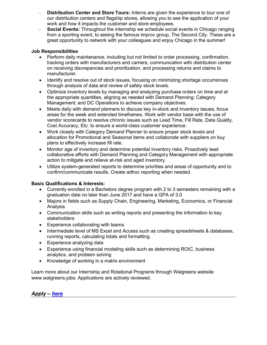- **Distribution Center and Store Tours:** Interns are given the experience to tour one of our distribution centers and flagship stores, allowing you to see the application of your work and how it impacts the customer and store employees.
- **Social Events:** Throughout the internship we schedule social events in Chicago ranging from a sporting event, to seeing the famous improv group, The Second City. These are a great opportunity to network with your colleagues and enjoy Chicago in the summer!

#### **Job Responsibilities**

- Perform daily maintenance, including but not limited to order processing, confirmation, tracking orders with manufacturers and carriers, communication with distribution center on receiving discrepancies and prioritization, and processing returns and claims to manufacturer.
- Identify and resolve out of stock issues, focusing on minimizing shortage occurrences through analysis of data and review of safety stock levels.
- Optimize inventory levels by managing and analyzing purchase orders on time and at the appropriate quantities, aligning as needed with Demand Planning; Category Management; and DC Operations to achieve company objectives.
- Meets daily with demand planners to discuss key in-stock and inventory issues, focus areas for the week and extended timeframes. Work with vendor base with the use of vendor scorecards to resolve chronic issues such as Lead Time, Fill Rate, Data Quality, Cost Accuracy, Etc. to ensure a world-class customer experience.
- Work closely with Category Demand Planner to ensure proper stock levels and allocation for Promotional and Seasonal items and collaborate with suppliers on buy plans to effectively increase fill rate.
- Monitor age of inventory and determine potential inventory risks. Proactively lead collaborative efforts with Demand Planning and Category Management with appropriate action to mitigate and relieve at-risk and aged inventory.
- Utilize system-generated reports to determine priorities and areas of opportunity and to confirm/communicate results. Create adhoc reporting when needed.

# **Basic Qualifications & Interests:**

- Currently enrolled in a Bachelors degree program with 2 to 3 semesters remaining with a graduation date no later than June 2017 and have a GPA of 3.0
- Majors in fields such as Supply Chain, Engineering, Marketing, Economics, or Financial Analysis
- Communication skills such as writing reports and presenting the information to key stakeholders
- Experience collaborating with teams.
- Intermediate level of MS Excel and Access such as creating spreadsheets & databases, running reports, calculating totals and formatting.
- Experience analyzing data
- Experience using financial modeling skills such as determining ROIC, business analytics, and problem solving
- Knowledge of working in a matrix environment

Learn more about our Internship and Rotational Programs through Walgreens website www.walgreens.jobs. Applications are actively reviewed.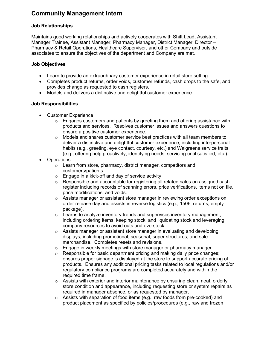# <span id="page-7-0"></span>**Community Management Intern**

### **Job Relationships**

Maintains good working relationships and actively cooperates with Shift Lead, Assistant Manager Trainee, Assistant Manager, Pharmacy Manager, District Manager, Director – Pharmacy & Retail Operations, Healthcare Supervisor, and other Company and outside associates to ensure the objectives of the department and Company are met.

#### **Job Objectives**

- Learn to provide an extraordinary customer experience in retail store setting.
- Completes product returns, order voids, customer refunds, cash drops to the safe, and provides change as requested to cash registers.
- Models and delivers a distinctive and delightful customer experience.

#### **Job Responsibilities**

- Customer Experience
	- $\circ$  Engages customers and patients by greeting them and offering assistance with products and services. Resolves customer issues and answers questions to ensure a positive customer experience.
	- $\circ$  Models and shares customer service best practices with all team members to deliver a distinctive and delightful customer experience, including interpersonal habits (e.g., greeting, eye contact, courtesy, etc.) and Walgreens service traits (e.g., offering help proactively, identifying needs, servicing until satisfied, etc.).
- **Operations** 
	- o Learn from store, pharmacy, district manager, competitors and customers/patients
	- $\circ$  Engage in a kick-off and day of service activity<br> $\circ$  Responsible and accountable for registering all
	- Responsible and accountable for registering all related sales on assigned cash register including records of scanning errors, price verifications, items not on file, price modifications, and voids.
	- $\circ$  Assists manager or assistant store manager in reviewing order exceptions on order release day and assists in reverse logistics (e.g., 1506, returns, empty package).
	- $\circ$  Learns to analyze inventory trends and supervises inventory management, including ordering items, keeping stock, and liquidating stock and leveraging company resources to avoid outs and overstock.
	- $\circ$  Assists manager or assistant store manager in evaluating and developing displays, including promotional, seasonal, super structures, and sale merchandise. Completes resets and revisions.
	- $\circ$  Engage in weekly meetings with store manager or pharmacy manager<br> $\circ$  Responsible for basic department pricing and making daily price chang
	- Responsible for basic department pricing and making daily price changes; ensures proper signage is displayed at the store to support accurate pricing of products. Ensures any additional pricing tasks related to local regulations and/or regulatory compliance programs are completed accurately and within the required time frame.
	- $\circ$  Assists with exterior and interior maintenance by ensuring clean, neat, orderly store condition and appearance, including requesting store or system repairs as required in manager absence, or as requested by manager.
	- $\circ$  Assists with separation of food items (e.g., raw foods from pre-cooked) and product placement as specified by policies/procedures (e.g., raw and frozen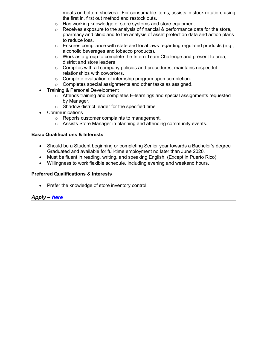meats on bottom shelves). For consumable items, assists in stock rotation, using the first in, first out method and restock outs.

- o Has working knowledge of store systems and store equipment.<br>o Receives exposure to the analysis of financial & performance da
- Receives exposure to the analysis of financial & performance data for the store, pharmacy and clinic and to the analysis of asset protection data and action plans to reduce loss.
- $\circ$  Ensures compliance with state and local laws regarding regulated products (e.g., alcoholic beverages and tobacco products).
- $\circ$  Work as a group to complete the Intern Team Challenge and present to area, district and store leaders
- o Complies with all company policies and procedures; maintains respectful relationships with coworkers.
- o Complete evaluation of internship program upon completion.
- o Completes special assignments and other tasks as assigned.
- Training & Personal Development
	- o Attends training and completes E-learnings and special assignments requested by Manager.
	- o Shadow district leader for the specified time
- Communications
	- o Reports customer complaints to management.
	- o Assists Store Manager in planning and attending community events.

#### **Basic Qualifications & Interests**

- Should be a Student beginning or completing Senior year towards a Bachelor's degree Graduated and available for full-time employment no later than June 2020.
- Must be fluent in reading, writing, and speaking English. (Except in Puerto Rico)
- Willingness to work flexible schedule, including evening and weekend hours.

#### **Preferred Qualifications & Interests**

• Prefer the knowledge of store inventory control.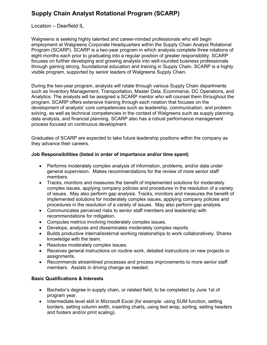# <span id="page-9-0"></span>**Supply Chain Analyst Rotational Program (SCARP)**

Location – Deerfield IL

Walgreens is seeking highly talented and career-minded professionals who will begin employment at Walgreens Corporate Headquarters within the Supply Chain Analyst Rotational Program (SCARP). SCARP is a two-year program in which analysts complete three rotations of eight months each prior to graduating into a regular position of greater responsibility. SCARP focuses on further developing and growing analysts into well-rounded business professionals through gaining strong, foundational education and training in Supply Chain. SCARP is a highly visible program, supported by senior leaders of Walgreens Supply Chain.

During the two-year program, analysts will rotate through various Supply Chain departments such as Inventory Management, Transportation, Master Data, Ecommerce, DC Operations, and Analytics. The analysts will be assigned a SCARP mentor who will counsel them throughout the program. SCARP offers extensive training through each rotation that focuses on the development of analysts' core competencies such as leadership, communication, and problem solving, as well as technical competencies in the context of Walgreens such as supply planning, data analysis, and financial planning. SCARP also has a robust performance management process focused on continuous development.

Graduates of SCARP are expected to take future leadership positions within the company as they advance their careers.

#### **Job Responsibilities (listed in order of importance and/or time spent)**

- Performs moderately complex analysis of information, problems, and/or data under general supervision. Makes recommendations for the review of more senior staff members.
- Tracks, monitors and measures the benefit of implemented solutions for moderately complex issues, applying company policies and procedures in the resolution of a variety of issues. May also perform gap analysis. Tracks, monitors and measures the benefit of implemented solutions for moderately complex issues, applying company policies and procedures in the resolution of a variety of issues. May also perform gap analysis.
- Communicates perceived risks to senior staff members and leadership with recommendations for mitigation.
- Computes metrics involving moderately complex issues.
- Develops, analyzes and disseminates moderately complex reports.
- Builds productive internal/external working relationships to work collaboratively. Shares knowledge with the team.
- Resolves moderately complex issues.
- Receives general instructions on routine work, detailed instructions on new projects or assignments.
- Recommends streamlined processes and process improvements to more senior staff members. Assists in driving change as needed.

# **Basic Qualifications & Interests**

- Bachelor's degree in supply chain, or related field, to be completed by June 1st of program year.
- Intermediate level skill in Microsoft Excel (for example: using SUM function, setting borders, setting column width, inserting charts, using text wrap, sorting, setting headers and footers and/or print scaling).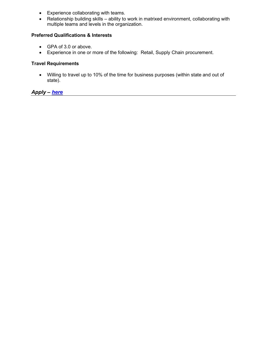- Experience collaborating with teams.
- Relationship building skills ability to work in matrixed environment, collaborating with multiple teams and levels in the organization.

#### **Preferred Qualifications & Interests**

- GPA of 3.0 or above.
- Experience in one or more of the following: Retail, Supply Chain procurement.

#### **Travel Requirements**

• Willing to travel up to 10% of the time for business purposes (within state and out of state).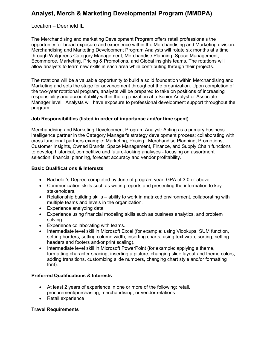# <span id="page-11-0"></span>**Analyst, Merch & Marketing Developmental Program (MMDPA)**

Location – Deerfield IL

The Merchandising and marketing Development Program offers retail professionals the opportunity for broad exposure and experience within the Merchandising and Marketing division. Merchandising and Marketing Development Program Analysts will rotate six months at a time through Walgreens Category Management, Merchandise Planning, Space Management, Ecommerce, Marketing, Pricing & Promotions, and Global insights teams. The rotations will allow analysts to learn new skills in each area while contributing through their projects.

The rotations will be a valuable opportunity to build a solid foundation within Merchandising and Marketing and sets the stage for advancement throughout the organization. Upon completion of the two-year rotational program, analysts will be prepared to take on positions of increasing responsibility and accountability within the organization at a Senior Analyst or Associate Manager level. Analysts will have exposure to professional development support throughout the program.

#### **Job Responsibilities (listed in order of importance and/or time spent)**

Merchandising and Marketing Development Program Analyst: Acting as a primary business intelligence partner in the Category Manager's strategy development process; collaborating with cross functional partners example: Marketing, Pricing , Merchandise Planning, Promotions, Customer Insights, Owned Brands, Space Management, Finance, and Supply Chain functions to develop historical, competitive and future-looking analyses - focusing on assortment selection, financial planning, forecast accuracy and vendor profitability.

#### **Basic Qualifications & Interests**

- Bachelor's Degree completed by June of program year. GPA of 3.0 or above.
- Communication skills such as writing reports and presenting the information to key stakeholders.
- Relationship building skills ability to work in matrixed environment, collaborating with multiple teams and levels in the organization.
- Experience analyzing data.
- Experience using financial modeling skills such as business analytics, and problem solving.
- Experience collaborating with teams.
- Intermediate level skill in Microsoft Excel (for example: using Vlookups, SUM function, setting borders, setting column width, inserting charts, using text wrap, sorting, setting headers and footers and/or print scaling).
- Intermediate level skill in Microsoft PowerPoint (for example: applying a theme, formatting character spacing, inserting a picture, changing slide layout and theme colors, adding transitions, customizing slide numbers, changing chart style and/or formatting font).

#### **Preferred Qualifications & Interests**

- At least 2 years of experience in one or more of the following: retail, procurement/purchasing, merchandising, or vendor relations
- Retail experience

#### **Travel Requirements**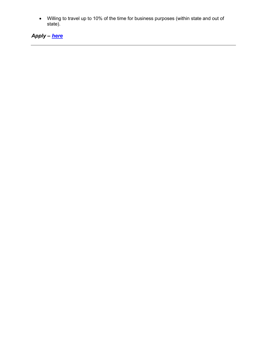• Willing to travel up to 10% of the time for business purposes (within state and out of state).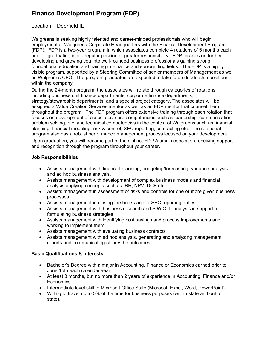# <span id="page-13-0"></span>**Finance Development Program (FDP)**

Location – Deerfield IL

Walgreens is seeking highly talented and career-minded professionals who will begin employment at Walgreens Corporate Headquarters with the Finance Development Program (FDP). FDP is a two-year program in which associates complete 4 rotations of 6 months each prior to graduating into a regular position of greater responsibility. FDP focuses on further developing and growing you into well-rounded business professionals gaining strong foundational education and training in Finance and surrounding fields. The FDP is a highly visible program, supported by a Steering Committee of senior members of Management as well as Walgreens CFO. The program graduates are expected to take future leadership positions within the company.

During the 24-month program, the associates will rotate through categories of rotations including business unit finance departments, corporate finance departments,

strategy/stewardship departments, and a special project category. The associates will be assigned a Value Creation Services mentor as well as an FDP mentor that counsel them throughout the program. The FDP program offers extensive training through each rotation that focuses on development of associates' core competencies such as leadership, communication, problem solving, etc. and technical competencies in the context of Walgreens such as financial planning, financial modeling, risk & control, SEC reporting, contracting etc. The rotational program also has a robust performance management process focused on your development. Upon graduation, you will become part of the distinct FDP Alumni association receiving support

and recognition through the program throughout your career.

#### **Job Responsibilities**

- Assists management with financial planning, budgeting/forecasting, variance analysis and ad hoc business analysis.
- Assists management with development of complex business models and financial analysis applying concepts such as IRR, NPV, DCF etc
- Assists management in assessment of risks and controls for one or more given business processes
- Assists management in closing the books and or SEC reporting duties
- Assists management with business research and S.W.O.T. analysis in support of formulating business strategies
- Assists management with identifying cost savings and process improvements and working to implement them
- Assists management with evaluating business contracts
- Assists management with ad hoc analysis, generating and analyzing management reports and communicating clearly the outcomes.

# **Basic Qualifications & Interests**

- Bachelor's Degree with a major in Accounting, Finance or Economics earned prior to June 15th each calendar year
- At least 3 months, but no more than 2 years of experience in Accounting, Finance and/or Economics.
- Intermediate level skill in Microsoft Office Suite (Microsoft Excel, Word, PowerPoint).
- Willing to travel up to 5% of the time for business purposes (within state and out of state).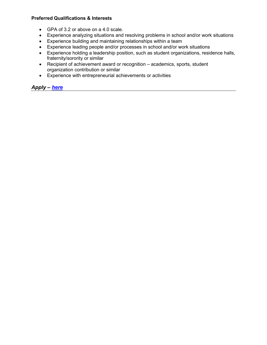#### **Preferred Qualifications & Interests**

- GPA of 3.2 or above on a 4.0 scale.
- Experience analyzing situations and resolving problems in school and/or work situations
- Experience building and maintaining relationships within a team
- Experience leading people and/or processes in school and/or work situations
- Experience holding a leadership position, such as student organizations, residence halls, fraternity/sorority or similar
- Recipient of achievement award or recognition academics, sports, student organization contribution or similar
- Experience with entrepreneurial achievements or activities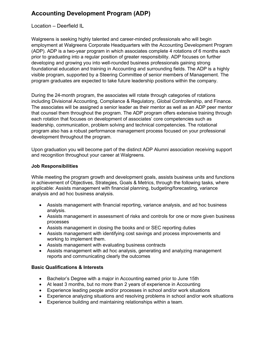# <span id="page-15-0"></span>**Accounting Development Program (ADP)**

Location – Deerfield IL

Walgreens is seeking highly talented and career-minded professionals who will begin employment at Walgreens Corporate Headquarters with the Accounting Development Program (ADP). ADP is a two-year program in which associates complete 4 rotations of 6 months each prior to graduating into a regular position of greater responsibility. ADP focuses on further developing and growing you into well-rounded business professionals gaining strong foundational education and training in Accounting and surrounding fields. The ADP is a highly visible program, supported by a Steering Committee of senior members of Management. The program graduates are expected to take future leadership positions within the company.

During the 24-month program, the associates will rotate through categories of rotations including Divisional Accounting, Compliance & Regulatory, Global Controllership, and Finance. The associates will be assigned a senior leader as their mentor as well as an ADP peer mentor that counsel them throughout the program. The ADP program offers extensive training through each rotation that focuses on development of associates' core competencies such as leadership, communication, problem solving and technical competencies. The rotational program also has a robust performance management process focused on your professional development throughout the program.

Upon graduation you will become part of the distinct ADP Alumni association receiving support and recognition throughout your career at Walgreens.

# **Job Responsibilities**

While meeting the program growth and development goals, assists business units and functions in achievement of Objectives, Strategies, Goals & Metrics, through the following tasks, where applicable: Assists management with financial planning, budgeting/forecasting, variance analysis and ad hoc business analysis.

- Assists management with financial reporting, variance analysis, and ad hoc business analysis.
- Assists management in assessment of risks and controls for one or more given business processes
- Assists management in closing the books and or SEC reporting duties
- Assists management with identifying cost savings and process improvements and working to implement them.
- Assists management with evaluating business contracts
- Assists management with ad hoc analysis, generating and analyzing management reports and communicating clearly the outcomes

# **Basic Qualifications & Interests**

- Bachelor's Degree with a major in Accounting earned prior to June 15th
- At least 3 months, but no more than 2 years of experience in Accounting
- Experience leading people and/or processes in school and/or work situations
- Experience analyzing situations and resolving problems in school and/or work situations
- Experience building and maintaining relationships within a team.